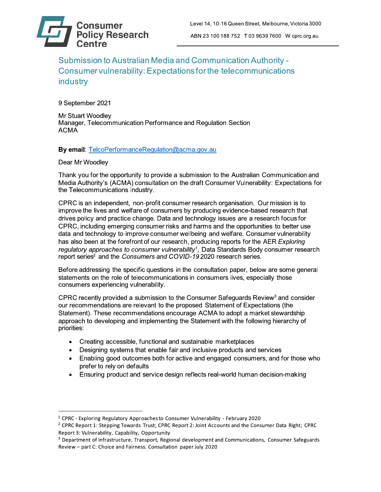Submission to Australian Media and Communication Authority -Consumer vulnerability: Expectations for the telecommunications industry

9 September 2021

**Mr Stuart Woodley** Manager, Telecommunication Performance and Regulation Section **ACMA** 

By email: TelcoPerformanceRegulation@acma.gov.au

# Dear Mr Woodlev

Thank you for the opportunity to provide a submission to the Australian Communication and Media Authority's (ACMA) consultation on the draft Consumer Vulnerability: Expectations for the Telecommunications Industry.

CPRC is an independent, non-profit consumer research organisation. Our mission is to improve the lives and welfare of consumers by producing evidence-based research that drives policy and practice change. Data and technology issues are a research focus for CPRC, including emerging consumer risks and harms and the opportunities to better use data and technology to improve consumer wellbeing and welfare. Consumer vulnerability has also been at the forefront of our research, producing reports for the AER Exploring regulatory approaches to consumer vulnerability<sup>1</sup>. Data Standards Body consumer research report series<sup>2</sup> and the Consumers and COVID-19 2020 research series.

Before addressing the specific questions in the consultation paper, below are some general statements on the role of telecommunications in consumers lives, especially those consumers experiencing vulnerability.

CPRC recently provided a submission to the Consumer Safeguards Review<sup>3</sup> and consider our recommendations are relevant to the proposed Statement of Expectations (the Statement). These recommendations encourage ACMA to adopt a market stewardship approach to developing and implementing the Statement with the following hierarchy of priorities:

- Creating accessible, functional and sustainable marketplaces
- Designing systems that enable fair and inclusive products and services  $\bullet$
- Enabling good outcomes both for active and engaged consumers, and for those who  $\bullet$ prefer to rely on defaults
- Ensuring product and service design reflects real-world human decision-making

<sup>&</sup>lt;sup>1</sup> CPRC - Exploring Regulatory Approaches to Consumer Vulnerability - February 2020

<sup>&</sup>lt;sup>2</sup> CPRC Report 1: Stepping Towards Trust; CPRC Report 2: Joint Accounts and the Consumer Data Right; CPRC Report 3: Vulnerability, Capability, Opportunity

<sup>&</sup>lt;sup>3</sup> Department of Infrastructure, Transport, Regional development and Communications, Consumer Safeguards Review - part C: Choice and Fairness. Consultation paper July 2020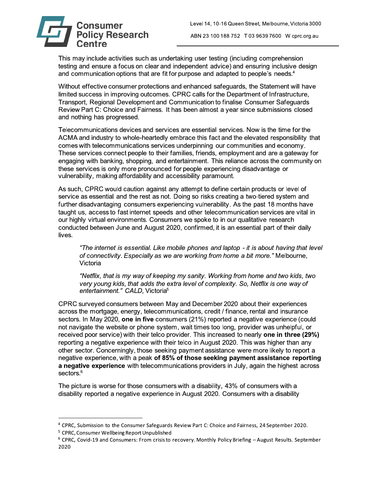

This may include activities such as undertaking user testing (including comprehension testing and ensure a focus on clear and independent advice) and ensuring inclusive design and communication options that are fit for purpose and adapted to people's needs.<sup>4</sup>

Without effective consumer protections and enhanced safeguards, the Statement will have limited success in improving outcomes. CPRC calls for the Department of Infrastructure, Transport, Regional Development and Communication to finalise Consumer Safeguards Review Part C: Choice and Fairness. It has been almost a year since submissions closed and nothing has progressed.

Telecommunications devices and services are essential services. Now is the time for the ACMA and industry to whole-heartedly embrace this fact and the elevated responsibility that comes with telecommunications services underpinning our communities and economy. These services connect people to their families, friends, employment and are a gateway for engaging with banking, shopping, and entertainment. This reliance across the community on these services is only more pronounced for people experiencing disadvantage or vulnerability, making affordability and accessibility paramount.

As such, CPRC would caution against any attempt to define certain products or level of service as essential and the rest as not. Doing so risks creating a two-tiered system and further disadvantaging consumers experiencing vulnerability. As the past 18 months have taught us, access to fast internet speeds and other telecommunication services are vital in our highly virtual environments. Consumers we spoke to in our qualitative research conducted between June and August 2020, confirmed, it is an essential part of their daily lives.

"The internet is essential. Like mobile phones and laptop - it is about having that level of connectivity. Especially as we are working from home a bit more." Melbourne, Victoria

"Netflix, that is my way of keeping my sanity. Working from home and two kids, two very young kids, that adds the extra level of complexity. So, Netflix is one way of entertainment." CALD, Victoria<sup>5</sup>

CPRC surveyed consumers between May and December 2020 about their experiences across the mortgage, energy, telecommunications, credit / finance, rental and insurance sectors. In May 2020, one in five consumers (21%) reported a negative experience (could not navigate the website or phone system, wait times too long, provider was unhelpful, or received poor service) with their telco provider. This increased to nearly one in three (29%) reporting a negative experience with their telco in August 2020. This was higher than any other sector. Concerningly, those seeking payment assistance were more likely to report a negative experience, with a peak of 85% of those seeking payment assistance reporting a negative experience with telecommunications providers in July, again the highest across sectors.<sup>6</sup>

The picture is worse for those consumers with a disability, 43% of consumers with a disability reported a negative experience in August 2020. Consumers with a disability

<sup>4</sup> CPRC, Submission to the Consumer Safeguards Review Part C: Choice and Fairness, 24 September 2020.

<sup>&</sup>lt;sup>5</sup> CPRC, Consumer Wellbeing Report Unpublished

 $6$  CPRC, Covid-19 and Consumers: From crisis to recovery. Monthly Policy Briefing - August Results. September 2020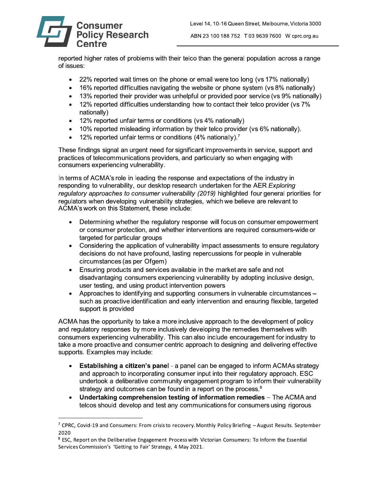

ABN 23 100 188 752 T 03 9639 7600 W cprc.org.au

reported higher rates of problems with their telco than the general population across a range of issues:

- 22% reported wait times on the phone or email were too long (vs 17% nationally)
- 16% reported difficulties navigating the website or phone system (vs 8% nationally)
- 13% reported their provider was unhelpful or provided poor service (vs 9% nationally)  $\bullet$
- 12% reported difficulties understanding how to contact their telco provider (vs 7%  $\bullet$ nationally)
- 12% reported unfair terms or conditions (vs 4% nationally)  $\bullet$
- 10% reported misleading information by their telco provider (vs 6% nationally).  $\bullet$
- 12% reported unfair terms or conditions (4% nationally).<sup>7</sup>

These findings signal an urgent need for significant improvements in service, support and practices of telecommunications providers, and particularly so when engaging with consumers experiencing vulnerability.

In terms of ACMA's role in leading the response and expectations of the industry in responding to vulnerability, our desktop research undertaken for the AER Exploring regulatory approaches to consumer vulnerability (2019) highlighted four general priorities for regulators when developing vulnerability strategies, which we believe are relevant to ACMA's work on this Statement, these include:

- Determining whether the regulatory response will focus on consumer empowerment  $\bullet$ or consumer protection, and whether interventions are required consumers-wide or targeted for particular groups
- Considering the application of vulnerability impact assessments to ensure regulatory  $\bullet$ decisions do not have profound, lasting repercussions for people in vulnerable circumstances (as per Ofgem)
- Ensuring products and services available in the market are safe and not disadvantaging consumers experiencing vulnerability by adopting inclusive design, user testing, and using product intervention powers
- Approaches to identifying and supporting consumers in vulnerable circumstances such as proactive identification and early intervention and ensuring flexible, targeted support is provided

ACMA has the opportunity to take a more inclusive approach to the development of policy and requiatory responses by more inclusively developing the remedies themselves with consumers experiencing vulnerability. This can also include encouragement for industry to take a more proactive and consumer centric approach to designing and delivering effective supports. Examples may include:

- **Establishing a citizen's panel** a panel can be engaged to inform ACMAs strategy  $\bullet$ and approach to incorporating consumer input into their regulatory approach. ESC undertook a deliberative community engagement program to inform their vulnerability strategy and outcomes can be found in a report on the process.<sup>8</sup>
- Undertaking comprehension testing of information remedies The ACMA and  $\bullet$ telcos should develop and test any communications for consumers using rigorous

<sup>&</sup>lt;sup>7</sup> CPRC, Covid-19 and Consumers: From crisis to recovery. Monthly Policy Briefing  $-A$ ugust Results. September 2020

<sup>&</sup>lt;sup>8</sup> ESC. Report on the Deliberative Engagement Process with Victorian Consumers: To Inform the Essential Services Commission's 'Getting to Fair' Strategy, 4 May 2021.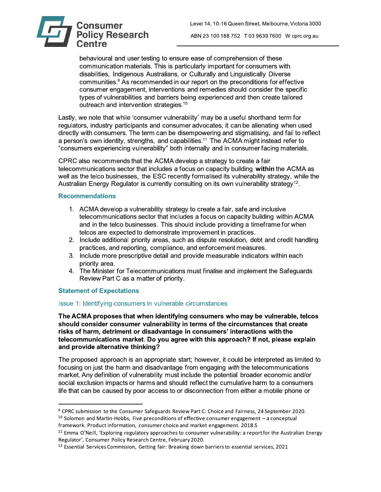

ABN 23 100 188 752 T 03 9639 7600 W cprc.org.au

behavioural and user testing to ensure ease of comprehension of these communication materials. This is particularly important for consumers with disabilities, Indigenous Australians, or Culturally and Linguistically Diverse communities.<sup>9</sup> As recommended in our report on the preconditions for effective consumer engagement, interventions and remedies should consider the specific types of vulnerabilities and barriers being experienced and then create tailored outreach and intervention strategies.<sup>10</sup>

Lastly, we note that while 'consumer vulnerability' may be a useful shorthand term for regulators, industry participants and consumer advocates, it can be alienating when used directly with consumers. The term can be disempowering and stigmatising, and fail to reflect a person's own identity, strengths, and capabilities.<sup>11</sup> The ACMA might instead refer to "consumers experiencing vulnerability" both internally and in consumer facing materials.

CPRC also recommends that the ACMA develop a strategy to create a fair telecommunications sector that includes a focus on capacity building within the ACMA as well as the telco businesses, the ESC recently formalised its vulnerability strategy, while the Australian Energy Regulator is currently consulting on its own vulnerability strategy<sup>12</sup>.

#### **Recommendations**

- 1. ACMA develop a vulnerability strategy to create a fair, safe and inclusive telecommunications sector that includes a focus on capacity building within ACMA and in the telco businesses. This should include providing a timeframe for when telcos are expected to demonstrate improvement in practices.
- 2. Include additional priority areas, such as dispute resolution, debt and credit handling practices, and reporting, compliance, and enforcement measures.
- 3. Include more prescriptive detail and provide measurable indicators within each priority area.
- 4. The Minister for Telecommunications must finalise and implement the Safequards Review Part C as a matter of priority.

# **Statement of Expectations**

# Issue 1: Identifying consumers in vulnerable circumstances

The ACMA proposes that when identifying consumers who may be vulnerable, telcos should consider consumer vulnerability in terms of the circumstances that create risks of harm, detriment or disadvantage in consumers' interactions with the telecommunications market. Do you agree with this approach? If not, please explain and provide alternative thinking?

The proposed approach is an appropriate start; however, it could be interpreted as limited to focusing on just the harm and disadvantage from engaging with the telecommunications market. Any definition of vulnerability must include the potential broader economic and/or social exclusion impacts or harms and should reflect the cumulative harm to a consumers life that can be caused by poor access to or disconnection from either a mobile phone or

<sup>&</sup>lt;sup>9</sup> CPRC submission to the Consumer Safeguards Review Part C: Choice and Fairness, 24 September 2020.  $10$  Solomon and Martin-Hobbs, Five preconditions of effective consumer engagement  $-$  a conceptual framework. Product information, consumer choice and market engagement. 2018.S

<sup>&</sup>lt;sup>11</sup> Emma O'Neill, 'Exploring regulatory approaches to consumer vulnerability: a report for the Australian Energy Regulator', Consumer Policy Research Centre, February 2020.

<sup>&</sup>lt;sup>12</sup> Essential Services Commission, Getting fair: Breaking down barriers to essential services, 2021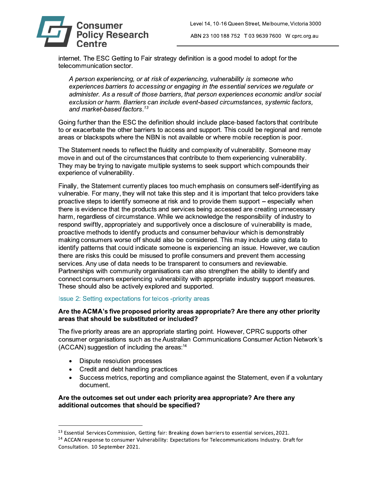

internet. The ESC Getting to Fair strategy definition is a good model to adopt for the telecommunication sector.

A person experiencing, or at risk of experiencing, vulnerability is someone who experiences barriers to accessing or engaging in the essential services we regulate or administer. As a result of those barriers, that person experiences economic and/or social exclusion or harm. Barriers can include event-based circumstances, systemic factors, and market-based factors.<sup>13</sup>

Going further than the ESC the definition should include place-based factors that contribute to or exacerbate the other barriers to access and support. This could be regional and remote areas or blackspots where the NBN is not available or where mobile reception is poor.

The Statement needs to reflect the fluidity and complexity of vulnerability. Someone may move in and out of the circumstances that contribute to them experiencing vulnerability. They may be trying to navigate multiple systems to seek support which compounds their experience of vulnerability.

Finally, the Statement currently places too much emphasis on consumers self-identifying as vulnerable. For many, they will not take this step and it is important that telco providers take proactive steps to identify someone at risk and to provide them support – especially when there is evidence that the products and services being accessed are creating unnecessary harm, regardless of circumstance. While we acknowledge the responsibility of industry to respond swiftly, appropriately and supportively once a disclosure of vulnerability is made. proactive methods to identify products and consumer behaviour which is demonstrably making consumers worse off should also be considered. This may include using data to identify patterns that could indicate someone is experiencing an issue. However, we caution there are risks this could be misused to profile consumers and prevent them accessing services. Any use of data needs to be transparent to consumers and reviewable. Partnerships with community organisations can also strengthen the ability to identify and connect consumers experiencing vulnerability with appropriate industry support measures. These should also be actively explored and supported.

# Issue 2: Setting expectations for telcos -priority areas

#### Are the ACMA's five proposed priority areas appropriate? Are there any other priority areas that should be substituted or included?

The five priority areas are an appropriate starting point. However, CPRC supports other consumer organisations such as the Australian Communications Consumer Action Network's (ACCAN) suggestion of including the areas:<sup>14</sup>

- Dispute resolution processes  $\bullet$
- Credit and debt handling practices  $\bullet$
- Success metrics, reporting and compliance against the Statement, even if a voluntary  $\bullet$ document.

#### Are the outcomes set out under each priority area appropriate? Are there any additional outcomes that should be specified?

<sup>&</sup>lt;sup>13</sup> Essential Services Commission, Getting fair: Breaking down barriers to essential services, 2021.

<sup>&</sup>lt;sup>14</sup> ACCAN response to consumer Vulnerability: Expectations for Telecommunications Industry. Draft for Consultation. 10 September 2021.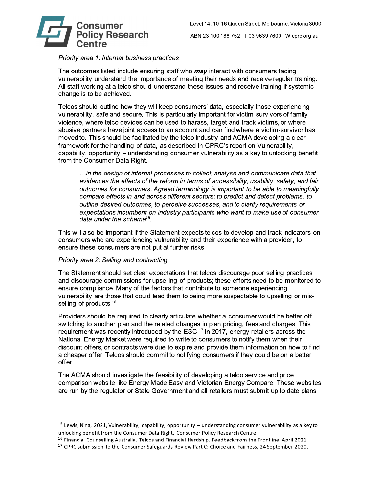

# Priority area 1: Internal business practices

The outcomes listed include ensuring staff who *may* interact with consumers facing vulnerability understand the importance of meeting their needs and receive regular training. All staff working at a telco should understand these issues and receive training if systemic change is to be achieved.

Telcos should outline how they will keep consumers' data, especially those experiencing vulnerability, safe and secure. This is particularly important for victim-survivors of family violence, where telco devices can be used to harass, target and track victims, or where abusive partners have joint access to an account and can find where a victim-survivor has moved to. This should be facilitated by the telco industry and ACMA developing a clear framework for the handling of data, as described in CPRC's report on Vulnerability, capability, opportunity – understanding consumer vulnerability as a key to unlocking benefit from the Consumer Data Right.

...in the design of internal processes to collect, analyse and communicate data that evidences the effects of the reform in terms of accessibility, usability, safety, and fair outcomes for consumers. Agreed terminology is important to be able to meaningfully compare effects in and across different sectors: to predict and detect problems, to outline desired outcomes, to perceive successes, and to clarify requirements or expectations incumbent on industry participants who want to make use of consumer data under the scheme<sup>15</sup>.

This will also be important if the Statement expects telcos to develop and track indicators on consumers who are experiencing vulnerability and their experience with a provider, to ensure these consumers are not put at further risks.

#### Priority area 2: Selling and contracting

The Statement should set clear expectations that telcos discourage poor selling practices and discourage commissions for upselling of products; these efforts need to be monitored to ensure compliance. Many of the factors that contribute to someone experiencing vulnerability are those that could lead them to being more suspectable to upselling or misselling of products.<sup>16</sup>

Providers should be required to clearly articulate whether a consumer would be better off switching to another plan and the related changes in plan pricing, fees and charges. This requirement was recently introduced by the ESC.<sup>17</sup> In 2017, energy retailers across the National Energy Market were required to write to consumers to notify them when their discount offers, or contracts were due to expire and provide them information on how to find a cheaper offer. Telcos should commit to notifying consumers if they could be on a better offer.

The ACMA should investigate the feasibility of developing a telco service and price comparison website like Energy Made Easy and Victorian Energy Compare. These websites are run by the regulator or State Government and all retailers must submit up to date plans

 $15$  Lewis, Nina, 2021, Vulnerability, capability, opportunity – understanding consumer vulnerability as a key to unlocking benefit from the Consumer Data Right, Consumer Policy Research Centre

 $16$  Financial Counselling Australia, Telcos and Financial Hardship. Feedback from the Frontline. April 2021.

<sup>&</sup>lt;sup>17</sup> CPRC submission to the Consumer Safeguards Review Part C: Choice and Fairness, 24 September 2020.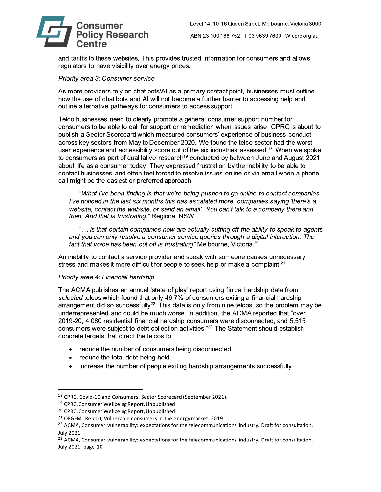

and tariffs to these websites. This provides trusted information for consumers and allows regulators to have visibility over energy prices.

#### Priority area 3: Consumer service

As more providers rely on chat bots/AI as a primary contact point, businesses must outline how the use of chat bots and AI will not become a further barrier to accessing help and outline alternative pathways for consumers to access support.

Telco businesses need to clearly promote a general consumer support number for consumers to be able to call for support or remediation when issues arise. CPRC is about to publish a Sector Scorecard which measured consumers' experience of business conduct across key sectors from May to December 2020. We found the telco sector had the worst user experience and accessibility score out of the six industries assessed.<sup>18</sup> When we spoke to consumers as part of qualitative research<sup>19</sup> conducted by between June and August 2021 about life as a consumer today. They expressed frustration by the inability to be able to contact businesses and often feel forced to resolve issues online or via email when a phone call might be the easiest or preferred approach.

"What I've been finding is that we're being pushed to go online to contact companies. I've noticed in the last six months this has escalated more, companies saying 'there's a website, contact the website, or send an email'. You can't talk to a company there and then. And that is frustrating." Regional NSW

"... is that certain companies now are actually cutting off the ability to speak to agents and you can only resolve a consumer service queries through a digital interaction. The fact that voice has been cut off is frustrating" Melbourne. Victoria <sup>20</sup>

An inability to contact a service provider and speak with someone causes unnecessary stress and makes it more difficult for people to seek help or make a complaint.<sup>21</sup>

# Priority area 4: Financial hardship

The ACMA publishes an annual 'state of play' report using finical hardship data from selected telcos which found that only 46.7% of consumers exiting a financial hardship arrangement did so successfully<sup>22</sup>. This data is only from nine telcos, so the problem may be underrepresented and could be much worse. In addition, the ACMA reported that "over 2019-20, 4,080 residential financial hardship consumers were disconnected, and 5,515 consumers were subject to debt collection activities."<sup>23</sup> The Statement should establish concrete targets that direct the telcos to:

- reduce the number of consumers being disconnected
- reduce the total debt being held  $\bullet$
- increase the number of people exiting hardship arrangements successfully.  $\bullet$

<sup>&</sup>lt;sup>18</sup> CPRC, Covid-19 and Consumers: Sector Scorecard (September 2021).

<sup>&</sup>lt;sup>19</sup> CPRC, Consumer Wellbeing Report, Unpublished

<sup>&</sup>lt;sup>20</sup> CPRC, Consumer Wellbeing Report, Unpublished

<sup>&</sup>lt;sup>21</sup> OFGEM. Report; Vulnerable consumers in the energy market: 2019

<sup>&</sup>lt;sup>22</sup> ACMA, Consumer vulnerability: expectations for the telecommunications industry. Draft for consultation. **July 2021** 

<sup>&</sup>lt;sup>23</sup> ACMA, Consumer vulnerability: expectations for the telecommunications industry. Draft for consultation. July 2021-page 10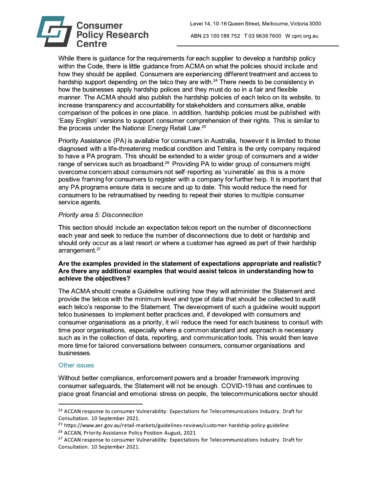

While there is guidance for the requirements for each supplier to develop a hardship policy within the Code, there is little guidance from ACMA on what the policies should include and how they should be applied. Consumers are experiencing different treatment and access to hardship support depending on the telco they are with.<sup>24</sup> There needs to be consistency in how the businesses apply hardship polices and they must do so in a fair and flexible manner. The ACMA should also publish the hardship policies of each telco on its website, to increase transparency and accountability for stakeholders and consumers alike, enable comparison of the polices in one place. In addition, hardship policies must be published with 'Easy English' versions to support consumer comprehension of their rights. This is similar to the process under the National Energy Retail Law.<sup>25</sup>

Priority Assistance (PA) is available for consumers in Australia, however it is limited to those diagnosed with a life-threatening medical condition and Telstra is the only company required to have a PA program. This should be extended to a wider group of consumers and a wider range of services such as broadband.<sup>26</sup> Providing PA to wider group of consumers might overcome concern about consumers not self-reporting as 'vulnerable' as this is a more positive framing for consumers to register with a company for further help. It is important that any PA programs ensure data is secure and up to date. This would reduce the need for consumers to be retraumatised by needing to repeat their stories to multiple consumer service agents.

#### Priority area 5: Disconnection

This section should include an expectation telcos report on the number of disconnections each year and seek to reduce the number of disconnections due to debt or hardship and should only occur as a last resort or where a customer has agreed as part of their hardship arrangement.<sup>27</sup>

#### Are the examples provided in the statement of expectations appropriate and realistic? Are there any additional examples that would assist telcos in understanding how to achieve the objectives?

The ACMA should create a Guideline outlining how they will administer the Statement and provide the telcos with the minimum level and type of data that should be collected to audit each telco's response to the Statement. The development of such a quideline would support telco businesses to implement better practices and, if developed with consumers and consumer organisations as a priority, it will reduce the need for each business to consult with time poor organisations, especially where a common standard and approach is necessary such as in the collection of data, reporting, and communication tools. This would then leave more time for tailored conversations between consumers, consumer organisations and businesses.

# **Other issues**

Without better compliance, enforcement powers and a broader framework improving consumer safeguards, the Statement will not be enough. COVID-19 has and continues to place great financial and emotional stress on people, the telecommunications sector should

<sup>&</sup>lt;sup>24</sup> ACCAN response to consumer Vulnerability: Expectations for Telecommunications Industry. Draft for Consultation. 10 September 2021.

<sup>&</sup>lt;sup>25</sup> https://www.aer.gov.au/retail-markets/guidelines-reviews/customer-hardship-policy-guideline <sup>26</sup> ACCAN, Priority Assistance Policy Position August, 2021

<sup>&</sup>lt;sup>27</sup> ACCAN response to consumer Vulnerability: Expectations for Telecommunications Industry. Draft for Consultation. 10 September 2021.